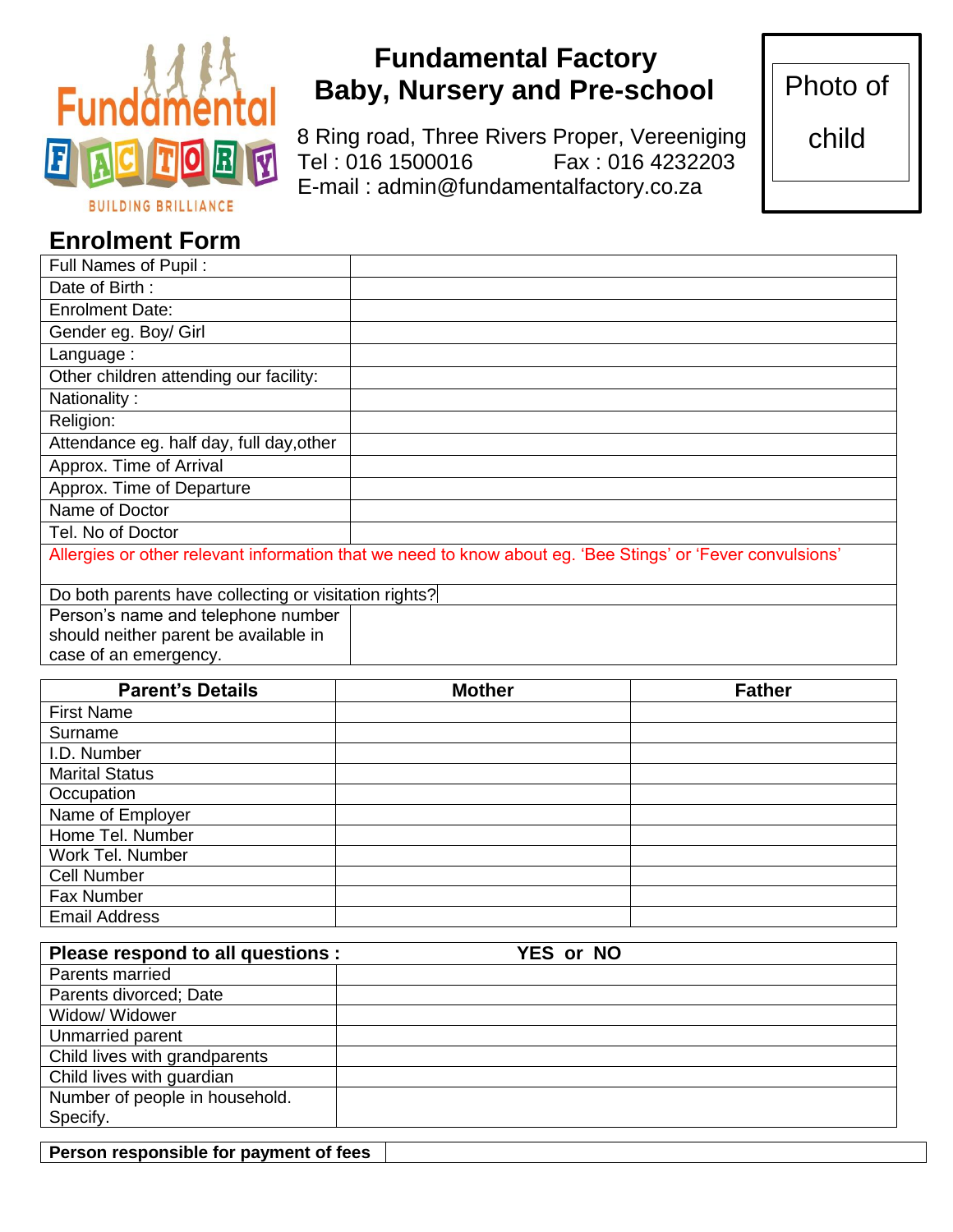

# **Fundamental Factory Baby, Nursery and Pre-school**

8 Ring road, Three Rivers Proper, Vereeniging **O R Tel** : 016 1500016 Fax : 016 4232203 E-mail : admin@fundamentalfactory.co.za

Photo of

child

## **Enrolment Form**

| Full Names of Pupil:                                                                                       |  |  |  |
|------------------------------------------------------------------------------------------------------------|--|--|--|
| Date of Birth:                                                                                             |  |  |  |
| <b>Enrolment Date:</b>                                                                                     |  |  |  |
| Gender eg. Boy/ Girl                                                                                       |  |  |  |
| Language:                                                                                                  |  |  |  |
| Other children attending our facility:                                                                     |  |  |  |
| Nationality:                                                                                               |  |  |  |
| Religion:                                                                                                  |  |  |  |
| Attendance eg. half day, full day, other                                                                   |  |  |  |
| Approx. Time of Arrival                                                                                    |  |  |  |
| Approx. Time of Departure                                                                                  |  |  |  |
| Name of Doctor                                                                                             |  |  |  |
| Tel. No of Doctor                                                                                          |  |  |  |
| Allergies or other relevant information that we need to know about eg. 'Bee Stings' or 'Fever convulsions' |  |  |  |
| Do both parents have collecting or visitation rights?                                                      |  |  |  |
| Person's name and telephone number                                                                         |  |  |  |
| should neither parent be available in                                                                      |  |  |  |
| case of an emergency.                                                                                      |  |  |  |

| <b>Parent's Details</b> | <b>Mother</b> | <b>Father</b> |
|-------------------------|---------------|---------------|
| <b>First Name</b>       |               |               |
| Surname                 |               |               |
| I.D. Number             |               |               |
| <b>Marital Status</b>   |               |               |
| Occupation              |               |               |
| Name of Employer        |               |               |
| Home Tel. Number        |               |               |
| Work Tel. Number        |               |               |
| <b>Cell Number</b>      |               |               |
| Fax Number              |               |               |
| <b>Email Address</b>    |               |               |

| Please respond to all questions : | <b>YES or NO</b> |
|-----------------------------------|------------------|
| Parents married                   |                  |
| Parents divorced; Date            |                  |
| Widow/ Widower                    |                  |
| Unmarried parent                  |                  |
| Child lives with grandparents     |                  |
| Child lives with guardian         |                  |
| Number of people in household.    |                  |
| Specify.                          |                  |

**Person responsible for payment of fees**